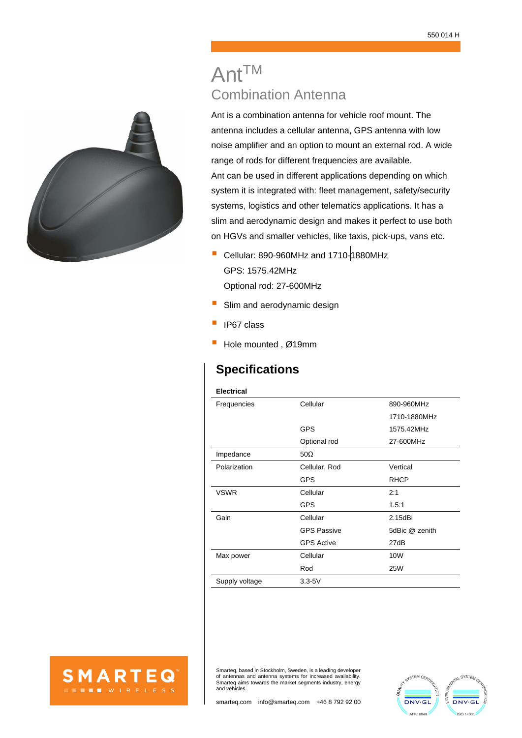# AntTM Combination Antenna

Ant is a combination antenna for vehicle roof mount. The antenna includes a cellular antenna, GPS antenna with low noise amplifier and an option to mount an external rod. A wide range of rods for different frequencies are available. Ant can be used in different applications depending on which system it is integrated with: fleet management, safety/security systems, logistics and other telematics applications. It has a slim and aerodynamic design and makes it perfect to use both on HGVs and smaller vehicles, like taxis, pick-ups, vans etc.

- Cellular: 890-960MHz and 1710-1880MHz GPS: 1575.42MHz Optional rod: 27-600MHz
- **E** Slim and aerodynamic design
- IP67 class
- Hole mounted, Ø19mm

# **Specifications**

#### **Electrical**

| Frequencies    | Cellular           | 890-960MHz     |
|----------------|--------------------|----------------|
|                |                    | 1710-1880MHz   |
|                | <b>GPS</b>         | 1575.42MHz     |
|                | Optional rod       | 27-600MHz      |
| Impedance      | $50\Omega$         |                |
| Polarization   | Cellular, Rod      | Vertical       |
|                | <b>GPS</b>         | <b>RHCP</b>    |
| <b>VSWR</b>    | Cellular           | 2:1            |
|                | <b>GPS</b>         | 1.5:1          |
| Gain           | Cellular           | 2.15dBi        |
|                | <b>GPS Passive</b> | 5dBic @ zenith |
|                | <b>GPS Active</b>  | 27dB           |
| Max power      | Cellular           | 10W            |
|                | Rod                | <b>25W</b>     |
| Supply voltage | $3.3 - 5V$         |                |
|                |                    |                |



Smarteq, based in Stockholm, Sweden, is a leading developer of antennas and antenna systems for increased availability. Smarteq aims towards the market segments industry, energy and vehicles.